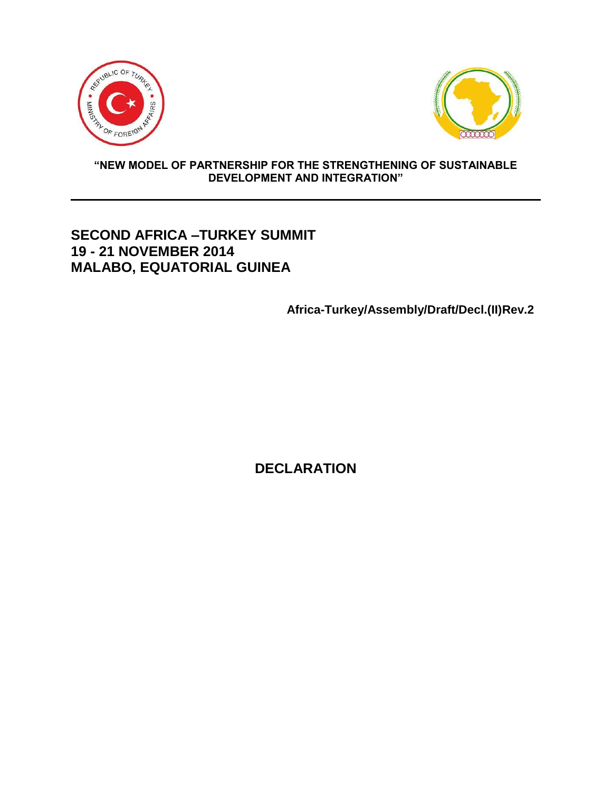



#### **"NEW MODEL OF PARTNERSHIP FOR THE STRENGTHENING OF SUSTAINABLE DEVELOPMENT AND INTEGRATION"**

# **SECOND AFRICA –TURKEY SUMMIT 19 - 21 NOVEMBER 2014 MALABO, EQUATORIAL GUINEA**

**Africa-Turkey/Assembly/Draft/Decl.(II)Rev.2**

**DECLARATION**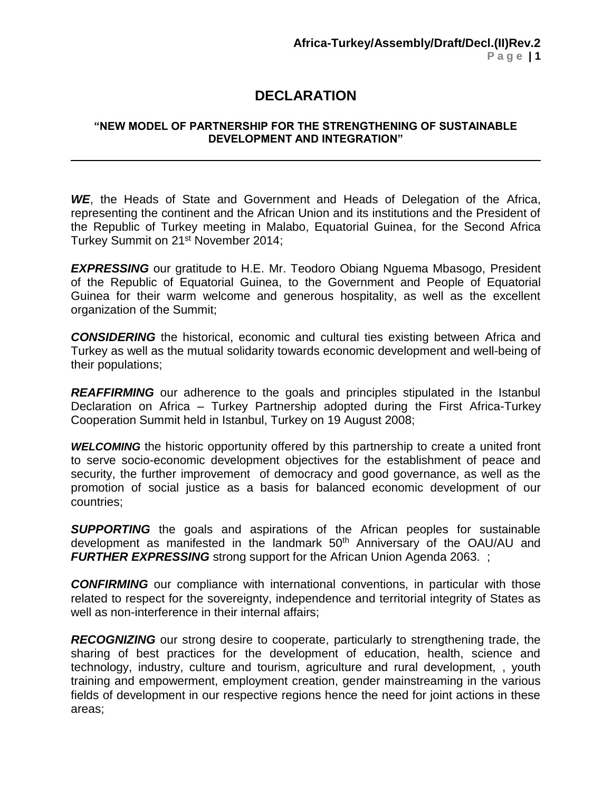# **DECLARATION**

#### **"NEW MODEL OF PARTNERSHIP FOR THE STRENGTHENING OF SUSTAINABLE DEVELOPMENT AND INTEGRATION"**

*WE*, the Heads of State and Government and Heads of Delegation of the Africa, representing the continent and the African Union and its institutions and the President of the Republic of Turkey meeting in Malabo, Equatorial Guinea, for the Second Africa Turkey Summit on 21<sup>st</sup> November 2014;

**EXPRESSING** our gratitude to H.E. Mr. Teodoro Obiang Nguema Mbasogo, President of the Republic of Equatorial Guinea, to the Government and People of Equatorial Guinea for their warm welcome and generous hospitality, as well as the excellent organization of the Summit;

*CONSIDERING* the historical, economic and cultural ties existing between Africa and Turkey as well as the mutual solidarity towards economic development and well-being of their populations;

*REAFFIRMING* our adherence to the goals and principles stipulated in the Istanbul Declaration on Africa – Turkey Partnership adopted during the First Africa-Turkey Cooperation Summit held in Istanbul, Turkey on 19 August 2008;

**WELCOMING** the historic opportunity offered by this partnership to create a united front to serve socio-economic development objectives for the establishment of peace and security, the further improvement of democracy and good governance, as well as the promotion of social justice as a basis for balanced economic development of our countries;

**SUPPORTING** the goals and aspirations of the African peoples for sustainable development as manifested in the landmark 50<sup>th</sup> Anniversary of the OAU/AU and **FURTHER EXPRESSING** strong support for the African Union Agenda 2063.

*CONFIRMING* our compliance with international conventions, in particular with those related to respect for the sovereignty, independence and territorial integrity of States as well as non-interference in their internal affairs;

**RECOGNIZING** our strong desire to cooperate, particularly to strengthening trade, the sharing of best practices for the development of education, health, science and technology, industry, culture and tourism, agriculture and rural development, , youth training and empowerment, employment creation, gender mainstreaming in the various fields of development in our respective regions hence the need for joint actions in these areas;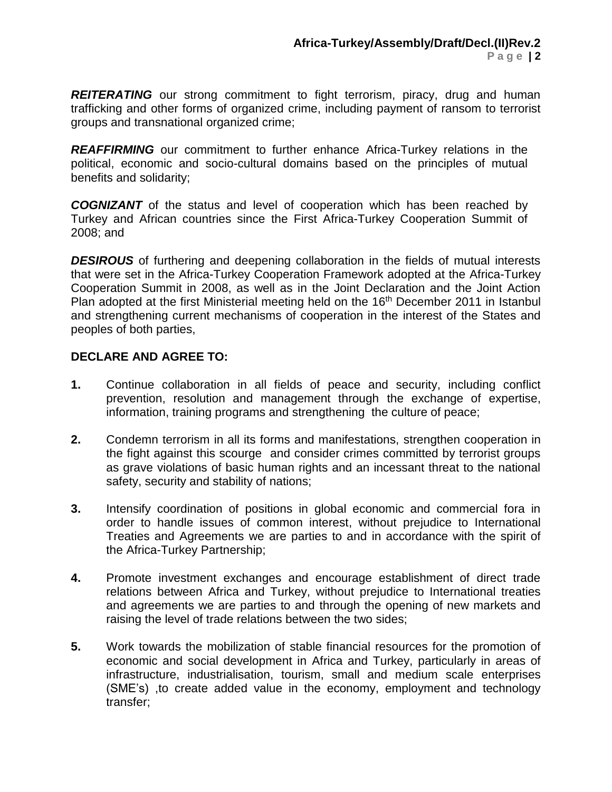**REITERATING** our strong commitment to fight terrorism, piracy, drug and human trafficking and other forms of organized crime, including payment of ransom to terrorist groups and transnational organized crime;

**REAFFIRMING** our commitment to further enhance Africa-Turkey relations in the political, economic and socio-cultural domains based on the principles of mutual benefits and solidarity;

*COGNIZANT* of the status and level of cooperation which has been reached by Turkey and African countries since the First Africa-Turkey Cooperation Summit of 2008; and

*DESIROUS* of furthering and deepening collaboration in the fields of mutual interests that were set in the Africa-Turkey Cooperation Framework adopted at the Africa-Turkey Cooperation Summit in 2008, as well as in the Joint Declaration and the Joint Action Plan adopted at the first Ministerial meeting held on the 16<sup>th</sup> December 2011 in Istanbul and strengthening current mechanisms of cooperation in the interest of the States and peoples of both parties,

### **DECLARE AND AGREE TO:**

- **1.** Continue collaboration in all fields of peace and security, including conflict prevention, resolution and management through the exchange of expertise, information, training programs and strengthening the culture of peace;
- **2.** Condemn terrorism in all its forms and manifestations, strengthen cooperation in the fight against this scourge and consider crimes committed by terrorist groups as grave violations of basic human rights and an incessant threat to the national safety, security and stability of nations;
- **3.** Intensify coordination of positions in global economic and commercial fora in order to handle issues of common interest, without prejudice to International Treaties and Agreements we are parties to and in accordance with the spirit of the Africa-Turkey Partnership;
- **4.** Promote investment exchanges and encourage establishment of direct trade relations between Africa and Turkey, without prejudice to International treaties and agreements we are parties to and through the opening of new markets and raising the level of trade relations between the two sides;
- **5.** Work towards the mobilization of stable financial resources for the promotion of economic and social development in Africa and Turkey, particularly in areas of infrastructure, industrialisation, tourism, small and medium scale enterprises (SME's) ,to create added value in the economy, employment and technology transfer;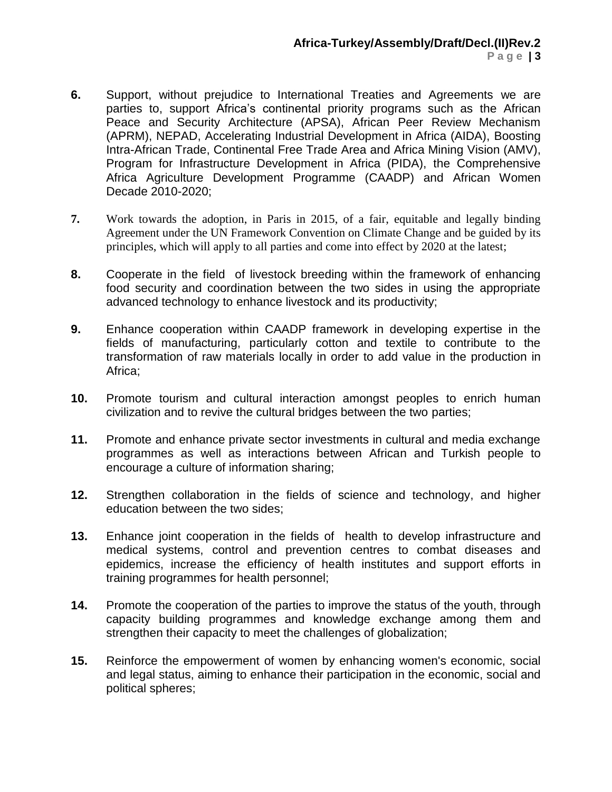- **6.** Support, without prejudice to International Treaties and Agreements we are parties to, support Africa's continental priority programs such as the African Peace and Security Architecture (APSA), African Peer Review Mechanism (APRM), NEPAD, Accelerating Industrial Development in Africa (AIDA), Boosting Intra-African Trade, Continental Free Trade Area and Africa Mining Vision (AMV), Program for Infrastructure Development in Africa (PIDA), the Comprehensive Africa Agriculture Development Programme (CAADP) and African Women Decade 2010-2020;
- **7.** Work towards the adoption, in Paris in 2015, of a fair, equitable and legally binding Agreement under the UN Framework Convention on Climate Change and be guided by its principles, which will apply to all parties and come into effect by 2020 at the latest;
- **8.** Cooperate in the field of livestock breeding within the framework of enhancing food security and coordination between the two sides in using the appropriate advanced technology to enhance livestock and its productivity;
- **9.** Enhance cooperation within CAADP framework in developing expertise in the fields of manufacturing, particularly cotton and textile to contribute to the transformation of raw materials locally in order to add value in the production in Africa;
- **10.** Promote tourism and cultural interaction amongst peoples to enrich human civilization and to revive the cultural bridges between the two parties;
- **11.** Promote and enhance private sector investments in cultural and media exchange programmes as well as interactions between African and Turkish people to encourage a culture of information sharing;
- **12.** Strengthen collaboration in the fields of science and technology, and higher education between the two sides;
- **13.** Enhance joint cooperation in the fields of health to develop infrastructure and medical systems, control and prevention centres to combat diseases and epidemics, increase the efficiency of health institutes and support efforts in training programmes for health personnel;
- **14.** Promote the cooperation of the parties to improve the status of the youth, through capacity building programmes and knowledge exchange among them and strengthen their capacity to meet the challenges of globalization;
- **15.** Reinforce the empowerment of women by enhancing women's economic, social and legal status, aiming to enhance their participation in the economic, social and political spheres;